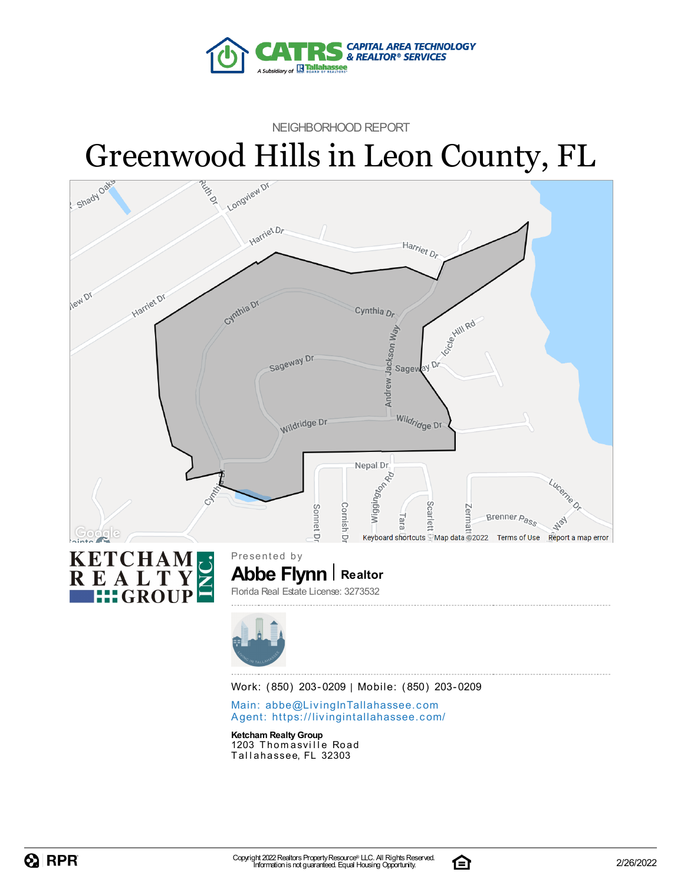

NEIGHBORHOOD REPORT



Agent: https://livingintallaha[sse](https://livingintallahassee.com/)e.com/

**Ketcham RealtyGroup**

1203 Thomasville Road Tallahassee, FL 32303

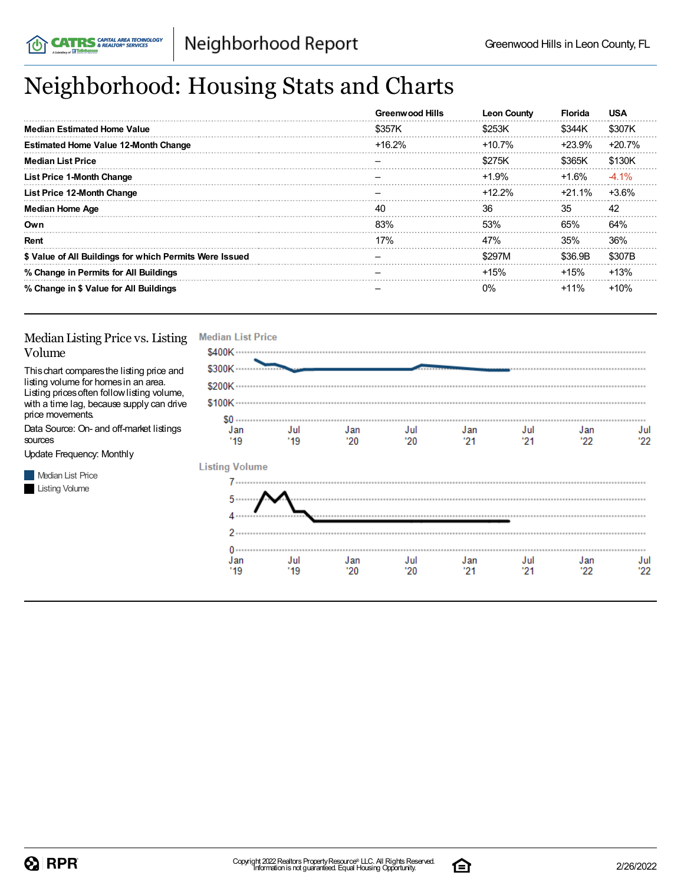# Neighborhood: Housing Stats and Charts

|                                                         | <b>Greenwood Hills</b> | <b>Leon County</b> | <b>Florida</b> | <b>USA</b> |
|---------------------------------------------------------|------------------------|--------------------|----------------|------------|
| <b>Median Estimated Home Value</b>                      | \$357K                 | \$253K             | \$344K         | \$307K     |
| <b>Estimated Home Value 12-Month Change</b>             | $+16.2%$               | $+10.7%$           | +23.9%         | $+20.7%$   |
| <b>Median List Price</b>                                |                        | \$275K             | \$365K         | \$130K     |
| <b>List Price 1-Month Change</b>                        |                        | $+1.9%$            | $+1.6\%$       | $-4.1%$    |
| List Price 12-Month Change                              |                        | $+12.2\%$          | +21.1%         | $+3.6%$    |
| <b>Median Home Age</b>                                  | 40                     | 36                 | 35             | 42         |
| Own                                                     | 83%                    | 53%                | 65%            | 64%        |
| Rent                                                    | 17%                    | 47%                | 35%            | 36%        |
| \$ Value of All Buildings for which Permits Were Issued |                        | \$297M             | \$36.9B        | \$307B     |
| % Change in Permits for All Buildings                   |                        | $+15%$             | $+15%$         | $+13%$     |
| % Change in \$ Value for All Buildings                  |                        | በ%                 | $+11\%$        | $+10%$     |

#### Median Listing Price vs. Listing Volume

Thischart comparesthe listing price and listing volume for homesin an area. Listing pricesoften followlisting volume, with a time lag, because supply can drive price movements.

Data Source: On- and off-market listings sources

Update Frequency: Monthly

**Median List Price Listing Volume** 

| <b>Median List Price</b>    |             |            |            |             |             |             |            |
|-----------------------------|-------------|------------|------------|-------------|-------------|-------------|------------|
| \$400K ···········          |             |            |            |             |             |             |            |
| \$300K ···················  |             |            |            |             |             |             |            |
|                             |             |            |            |             |             |             |            |
|                             |             |            |            |             |             |             |            |
| $S_0 \cdots$<br>Jan<br>"19" | Jul<br>"19" | Jan<br>'20 | Jul<br>'20 | Jan<br>"21" | Jul<br>"21" | Jan<br>"22" | Jul<br>22' |
| <b>Listing Volume</b>       |             |            |            |             |             |             |            |
|                             |             |            |            |             |             |             |            |
| 5                           |             |            |            |             |             |             |            |
| 2.                          |             |            |            |             |             |             |            |
| $0 -$                       |             |            |            |             |             |             |            |
| Jan<br>'19                  | Jul<br>'19  | Jan<br>'20 | Jul<br>'20 | Jan<br>'21  | Jul<br>'21  | Jan<br>'22  | Jul<br>22' |

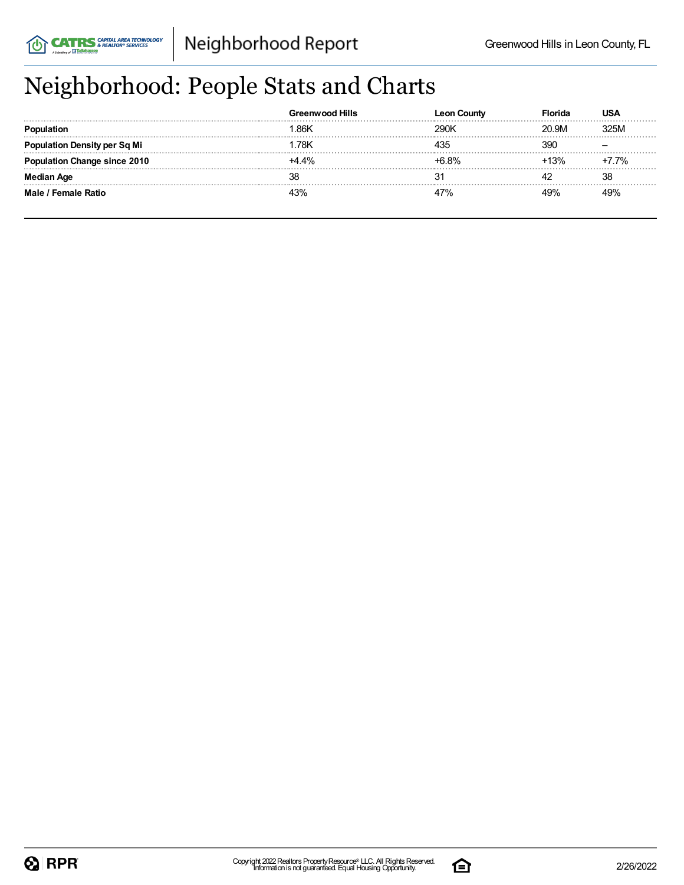# Neighborhood: People Stats and Charts

|                               | Greenwood Hills | Count |       | USA      |
|-------------------------------|-----------------|-------|-------|----------|
|                               | .86K            | 290K  | 20.9M | 325M     |
| <b>tion Density per Sq Mi</b> | .78K            |       | 39C   |          |
| Change since 2010             | $+4.4\%$        | +6 ጸ% | 13%   | $-7.7\%$ |
| Median Age                    |                 |       |       | 38       |
| Male / Female Ratio           | 3%              | 7%،   | 100/  |          |

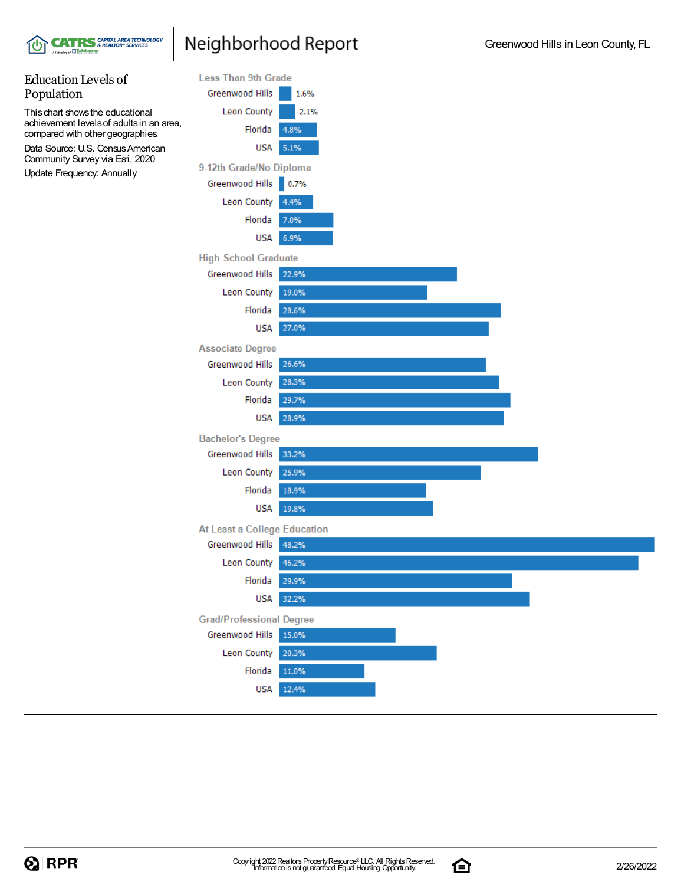### Neighborhood Report

**CATRS** & REALTOR® SERVICES



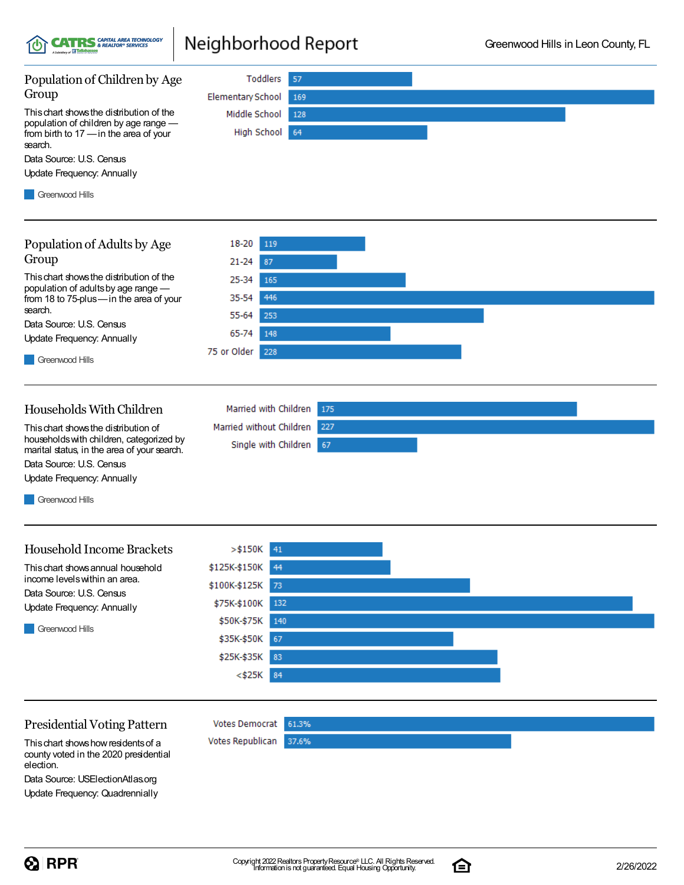

### Neighborhood Report



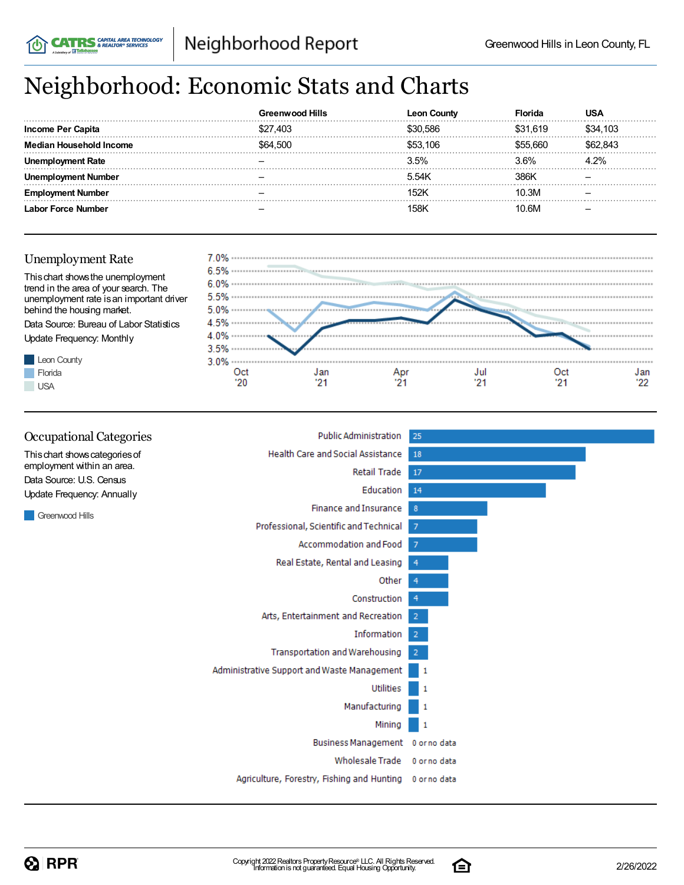# Neighborhood: Economic Stats and Charts

|                   | <b>Greenwood Hills</b> |          |          |          |
|-------------------|------------------------|----------|----------|----------|
| Income Per Capita | \$27,403               | 30.586   | \$31.619 | \$34,103 |
| usehold Income    | \$64,500               | \$53,106 |          |          |
| : Rate            |                        | 3.5%     | ` 6%     |          |
| Number            |                        | 5.54K    |          |          |
| Number            |                        | 152K     | 10.3M    |          |
| r Force Number    |                        |          | ⊦6M      |          |

### Unemployment Rate

**CATRS** & REALTOR® SERVICES



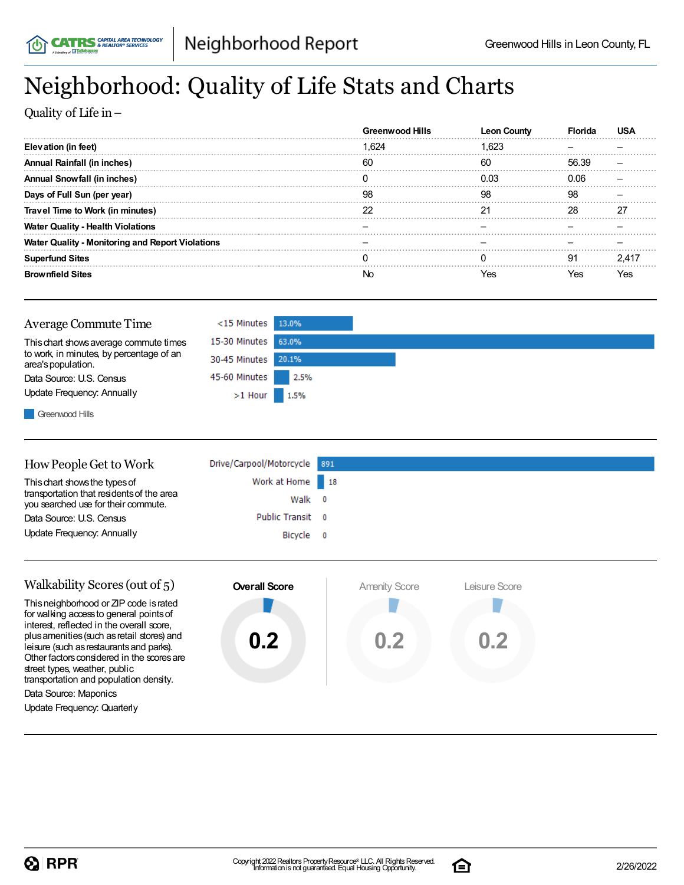# Neighborhood: Quality of Life Stats and Charts

Quality of Life in–

|                                                         | <b>Greenwood Hills</b> |      |       |  |
|---------------------------------------------------------|------------------------|------|-------|--|
| Elevation (in feet)                                     | .624                   |      |       |  |
| Annual Rainfall (in inches)                             | 60                     | 60   | 56.39 |  |
| Annual Snowfall (in inches)                             |                        | በ በ3 |       |  |
| Days of Full Sun (per year)                             | 98                     | 98   | 98    |  |
| Travel Time to Work (in minutes)                        |                        |      |       |  |
| <b>Water Quality - Health Violations</b>                |                        |      |       |  |
| <b>Water Quality - Monitoring and Report Violations</b> |                        |      |       |  |
| <b>Superfund Sites</b>                                  |                        |      | 91    |  |
| <b>Brownfield Sites</b>                                 | Nr                     |      | 'es   |  |

| <b>Average Commute Time</b>                                    | <15 Minutes 13.0%   |      |
|----------------------------------------------------------------|---------------------|------|
| This chart shows average commute times                         | 15-30 Minutes 63.0% |      |
| to work, in minutes, by percentage of an<br>area's population. | 30-45 Minutes 20.1% |      |
| Data Source: U.S. Census                                       | 45-60 Minutes       | 2.5% |
| Update Frequency: Annually                                     | $>1$ Hour 1.5%      |      |
| Greenwood Hills                                                |                     |      |

| How People Get to Work                                                           | Drive/Carpool/Motorcycle 891 |  |
|----------------------------------------------------------------------------------|------------------------------|--|
| This chart shows the types of                                                    | Work at Home 18              |  |
| transportation that residents of the area<br>you searched use for their commute. | Walk 0                       |  |
| Data Source: U.S. Census                                                         | Public Transit 0             |  |
| Update Frequency: Annually                                                       | Bicycle 0                    |  |
|                                                                                  |                              |  |

| Walkability Scores (out of 5)                                                                                                                                                                                   | <b>Overall Score</b> | <b>Amenity Score</b> | eisure Score |
|-----------------------------------------------------------------------------------------------------------------------------------------------------------------------------------------------------------------|----------------------|----------------------|--------------|
| This neighborhood or ZIP code is rated<br>for walking access to general points of<br>interest, reflected in the overall score,                                                                                  |                      |                      |              |
| plus amenities (such as retail stores) and<br>leisure (such as restaurants and parks).<br>Other factors considered in the scores are<br>street types, weather, public<br>transportation and population density. | 0.2                  | 0.2                  | 0.2          |
| Data Source: Maponics                                                                                                                                                                                           |                      |                      |              |
| Update Frequency: Quarterly                                                                                                                                                                                     |                      |                      |              |

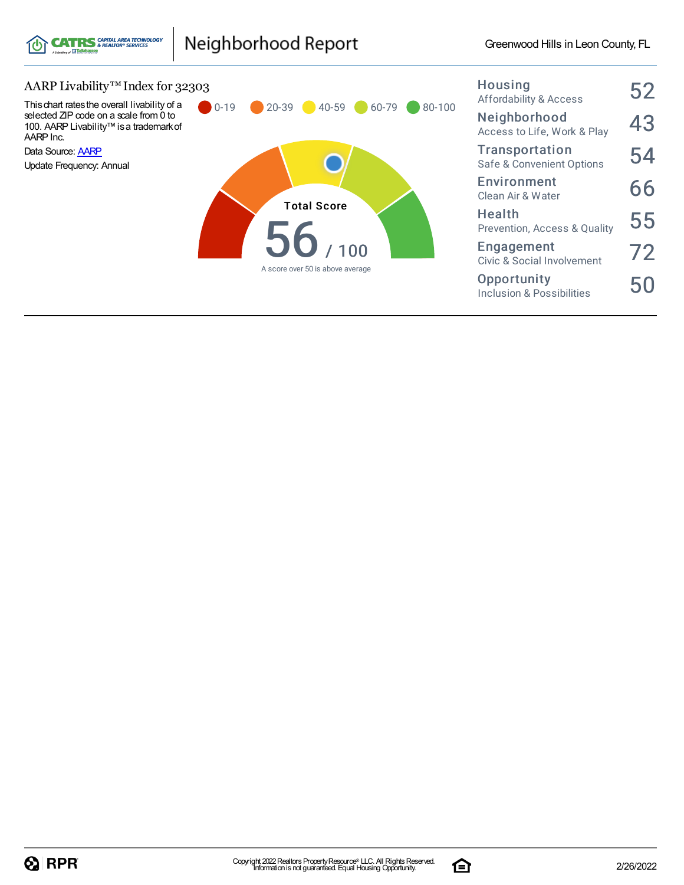

### Neighborhood Report